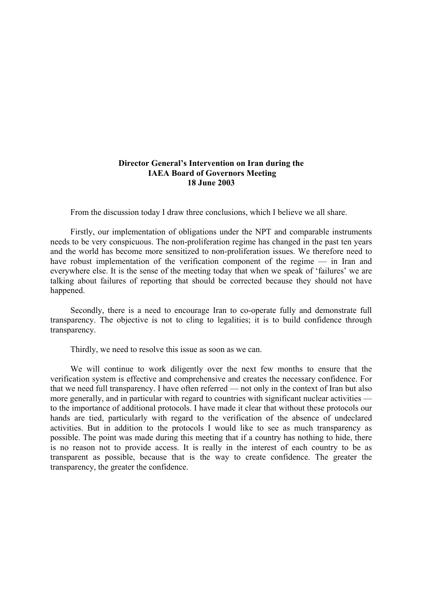## **Director General's Intervention on Iran during the IAEA Board of Governors Meeting 18 June 2003**

From the discussion today I draw three conclusions, which I believe we all share.

Firstly, our implementation of obligations under the NPT and comparable instruments needs to be very conspicuous. The non-proliferation regime has changed in the past ten years and the world has become more sensitized to non-proliferation issues. We therefore need to have robust implementation of the verification component of the regime — in Iran and everywhere else. It is the sense of the meeting today that when we speak of 'failures' we are talking about failures of reporting that should be corrected because they should not have happened.

Secondly, there is a need to encourage Iran to co-operate fully and demonstrate full transparency. The objective is not to cling to legalities; it is to build confidence through transparency.

Thirdly, we need to resolve this issue as soon as we can.

We will continue to work diligently over the next few months to ensure that the verification system is effective and comprehensive and creates the necessary confidence. For that we need full transparency. I have often referred — not only in the context of Iran but also more generally, and in particular with regard to countries with significant nuclear activities to the importance of additional protocols. I have made it clear that without these protocols our hands are tied, particularly with regard to the verification of the absence of undeclared activities. But in addition to the protocols I would like to see as much transparency as possible. The point was made during this meeting that if a country has nothing to hide, there is no reason not to provide access. It is really in the interest of each country to be as transparent as possible, because that is the way to create confidence. The greater the transparency, the greater the confidence.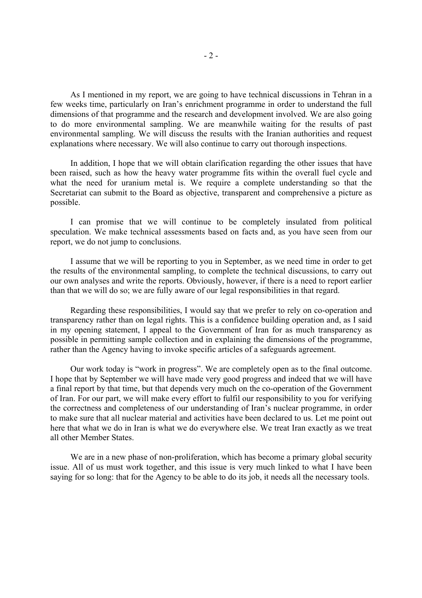As I mentioned in my report, we are going to have technical discussions in Tehran in a few weeks time, particularly on Iran's enrichment programme in order to understand the full dimensions of that programme and the research and development involved. We are also going to do more environmental sampling. We are meanwhile waiting for the results of past environmental sampling. We will discuss the results with the Iranian authorities and request explanations where necessary. We will also continue to carry out thorough inspections.

 In addition, I hope that we will obtain clarification regarding the other issues that have been raised, such as how the heavy water programme fits within the overall fuel cycle and what the need for uranium metal is. We require a complete understanding so that the Secretariat can submit to the Board as objective, transparent and comprehensive a picture as possible.

 I can promise that we will continue to be completely insulated from political speculation. We make technical assessments based on facts and, as you have seen from our report, we do not jump to conclusions.

 I assume that we will be reporting to you in September, as we need time in order to get the results of the environmental sampling, to complete the technical discussions, to carry out our own analyses and write the reports. Obviously, however, if there is a need to report earlier than that we will do so; we are fully aware of our legal responsibilities in that regard.

 Regarding these responsibilities, I would say that we prefer to rely on co-operation and transparency rather than on legal rights. This is a confidence building operation and, as I said in my opening statement, I appeal to the Government of Iran for as much transparency as possible in permitting sample collection and in explaining the dimensions of the programme, rather than the Agency having to invoke specific articles of a safeguards agreement.

 Our work today is "work in progress". We are completely open as to the final outcome. I hope that by September we will have made very good progress and indeed that we will have a final report by that time, but that depends very much on the co-operation of the Government of Iran. For our part, we will make every effort to fulfil our responsibility to you for verifying the correctness and completeness of our understanding of Iran's nuclear programme, in order to make sure that all nuclear material and activities have been declared to us. Let me point out here that what we do in Iran is what we do everywhere else. We treat Iran exactly as we treat all other Member States.

 We are in a new phase of non-proliferation, which has become a primary global security issue. All of us must work together, and this issue is very much linked to what I have been saying for so long: that for the Agency to be able to do its job, it needs all the necessary tools.